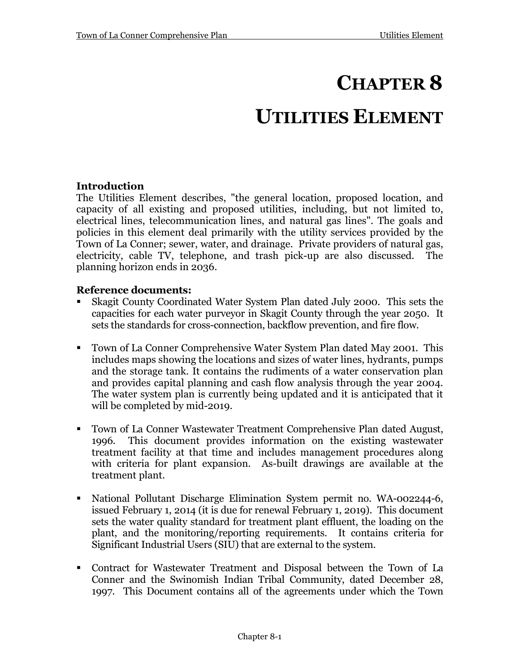# **CHAPTER 8**

# **UTILITIES ELEMENT**

## **Introduction**

The Utilities Element describes, "the general location, proposed location, and capacity of all existing and proposed utilities, including, but not limited to, electrical lines, telecommunication lines, and natural gas lines". The goals and policies in this element deal primarily with the utility services provided by the Town of La Conner; sewer, water, and drainage. Private providers of natural gas, electricity, cable TV, telephone, and trash pick-up are also discussed. The planning horizon ends in 2036.

#### **Reference documents:**

- Skagit County Coordinated Water System Plan dated July 2000. This sets the capacities for each water purveyor in Skagit County through the year 2050. It sets the standards for cross-connection, backflow prevention, and fire flow.
- Town of La Conner Comprehensive Water System Plan dated May 2001*.* This includes maps showing the locations and sizes of water lines, hydrants, pumps and the storage tank. It contains the rudiments of a water conservation plan and provides capital planning and cash flow analysis through the year 2004. The water system plan is currently being updated and it is anticipated that it will be completed by mid-2019.
- Town of La Conner Wastewater Treatment Comprehensive Plan dated August, 1996*.* This document provides information on the existing wastewater treatment facility at that time and includes management procedures along with criteria for plant expansion. As-built drawings are available at the treatment plant.
- National Pollutant Discharge Elimination System permit no. WA-002244-6, issued February 1, 2014 (it is due for renewal February 1, 2019).This document sets the water quality standard for treatment plant effluent, the loading on the plant, and the monitoring/reporting requirements. It contains criteria for Significant Industrial Users (SIU) that are external to the system.
- Contract for Wastewater Treatment and Disposal between the Town of La Conner and the Swinomish Indian Tribal Community, dated December 28, 1997. This Document contains all of the agreements under which the Town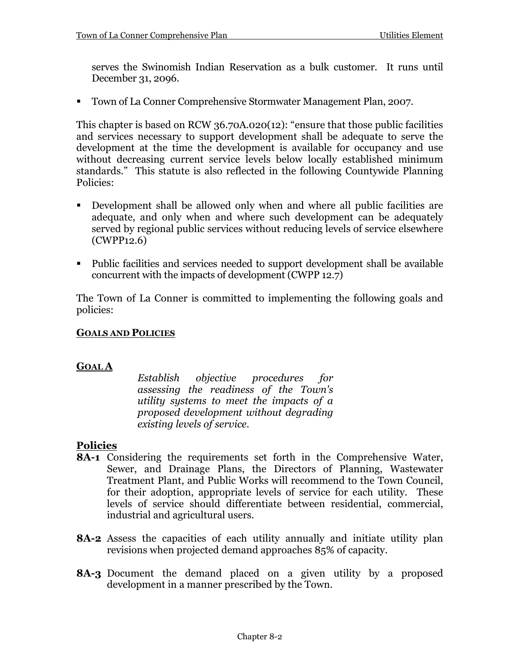serves the Swinomish Indian Reservation as a bulk customer. It runs until December 31, 2096.

Town of La Conner Comprehensive Stormwater Management Plan, 2007.

This chapter is based on RCW 36.70A.020(12): "ensure that those public facilities and services necessary to support development shall be adequate to serve the development at the time the development is available for occupancy and use without decreasing current service levels below locally established minimum standards." This statute is also reflected in the following Countywide Planning Policies:

- Development shall be allowed only when and where all public facilities are adequate, and only when and where such development can be adequately served by regional public services without reducing levels of service elsewhere (CWPP12.6)
- Public facilities and services needed to support development shall be available concurrent with the impacts of development (CWPP 12.7)

The Town of La Conner is committed to implementing the following goals and policies:

#### **GOALS AND POLICIES**

#### **GOAL A**

*Establish objective procedures for assessing the readiness of the Town's utility systems to meet the impacts of a proposed development without degrading existing levels of service.* 

## **Policies**

- **8A-1** Considering the requirements set forth in the Comprehensive Water, Sewer, and Drainage Plans, the Directors of Planning, Wastewater Treatment Plant, and Public Works will recommend to the Town Council, for their adoption, appropriate levels of service for each utility. These levels of service should differentiate between residential, commercial, industrial and agricultural users.
- **8A-2** Assess the capacities of each utility annually and initiate utility plan revisions when projected demand approaches 85% of capacity.
- **8A-3** Document the demand placed on a given utility by a proposed development in a manner prescribed by the Town.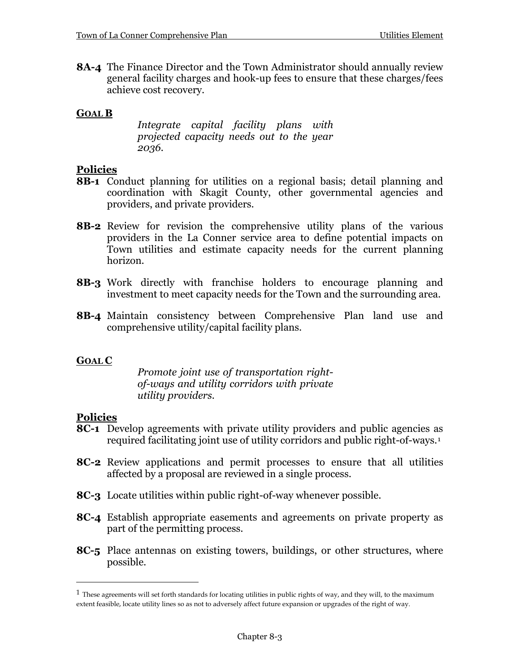**8A-4** The Finance Director and the Town Administrator should annually review general facility charges and hook-up fees to ensure that these charges/fees achieve cost recovery.

## **GOAL B**

*Integrate capital facility plans with projected capacity needs out to the year 2036.*

## **Policies**

- **8B-1** Conduct planning for utilities on a regional basis; detail planning and coordination with Skagit County, other governmental agencies and providers, and private providers.
- **8B-2** Review for revision the comprehensive utility plans of the various providers in the La Conner service area to define potential impacts on Town utilities and estimate capacity needs for the current planning horizon.
- **8B-3** Work directly with franchise holders to encourage planning and investment to meet capacity needs for the Town and the surrounding area.
- **8B-4** Maintain consistency between Comprehensive Plan land use and comprehensive utility/capital facility plans.

# **GOAL C**

*Promote joint use of transportation rightof-ways and utility corridors with private utility providers.*

## **Policies**

 $\overline{a}$ 

- **8C-1** Develop agreements with private utility providers and public agencies as required facilitating joint use of utility corridors and public right-of-ways.[1](#page-2-0)
- **8C-2** Review applications and permit processes to ensure that all utilities affected by a proposal are reviewed in a single process.
- **8C-3** Locate utilities within public right-of-way whenever possible.
- **8C-4** Establish appropriate easements and agreements on private property as part of the permitting process.
- **8C-5** Place antennas on existing towers, buildings, or other structures, where possible.

<span id="page-2-0"></span> $1$  These agreements will set forth standards for locating utilities in public rights of way, and they will, to the maximum extent feasible, locate utility lines so as not to adversely affect future expansion or upgrades of the right of way.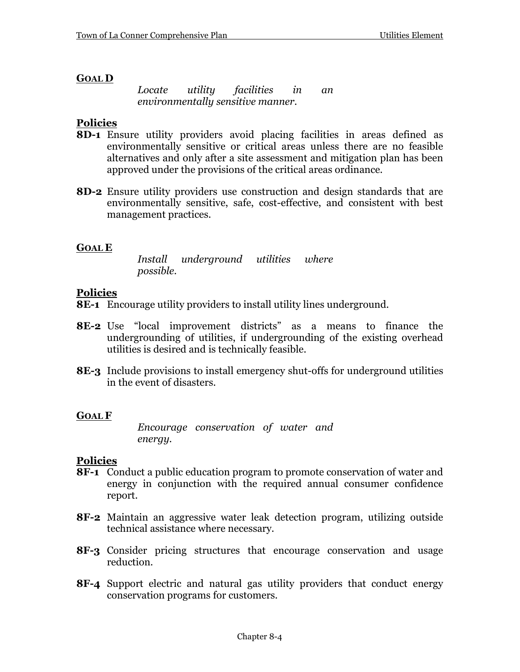## **GOAL D**

*Locate utility facilities in an environmentally sensitive manner.*

## **Policies**

- **8D-1** Ensure utility providers avoid placing facilities in areas defined as environmentally sensitive or critical areas unless there are no feasible alternatives and only after a site assessment and mitigation plan has been approved under the provisions of the critical areas ordinance.
- **8D-2** Ensure utility providers use construction and design standards that are environmentally sensitive, safe, cost-effective, and consistent with best management practices.

## **GOAL E**

*Install underground utilities where possible.*

#### **Policies**

- **8E-1** Encourage utility providers to install utility lines underground.
- **8E-2** Use "local improvement districts" as a means to finance the undergrounding of utilities, if undergrounding of the existing overhead utilities is desired and is technically feasible.
- **8E-3** Include provisions to install emergency shut-offs for underground utilities in the event of disasters.

## **GOAL F**

*Encourage conservation of water and energy.*

## **Policies**

- **8F-1** Conduct a public education program to promote conservation of water and energy in conjunction with the required annual consumer confidence report.
- **8F-2** Maintain an aggressive water leak detection program, utilizing outside technical assistance where necessary.
- **8F-3** Consider pricing structures that encourage conservation and usage reduction.
- **8F-4** Support electric and natural gas utility providers that conduct energy conservation programs for customers.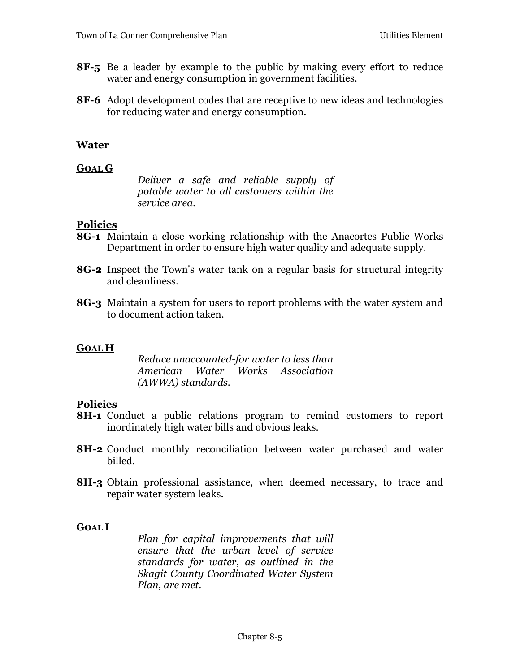- **8F-5** Be a leader by example to the public by making every effort to reduce water and energy consumption in government facilities.
- **8F-6** Adopt development codes that are receptive to new ideas and technologies for reducing water and energy consumption.

## **Water**

#### **GOAL G**

*Deliver a safe and reliable supply of potable water to all customers within the service area.*

#### **Policies**

- **8G-1** Maintain a close working relationship with the Anacortes Public Works Department in order to ensure high water quality and adequate supply.
- **8G-2** Inspect the Town's water tank on a regular basis for structural integrity and cleanliness.
- **8G-3** Maintain a system for users to report problems with the water system and to document action taken.

## **GOAL H**

*Reduce unaccounted-for water to less than American Water Works Association (AWWA) standards.*

## **Policies**

- **8H-1** Conduct a public relations program to remind customers to report inordinately high water bills and obvious leaks.
- **8H-2** Conduct monthly reconciliation between water purchased and water billed.
- **8H-3** Obtain professional assistance, when deemed necessary, to trace and repair water system leaks.

## **GOAL I**

*Plan for capital improvements that will ensure that the urban level of service standards for water, as outlined in the Skagit County Coordinated Water System Plan, are met.*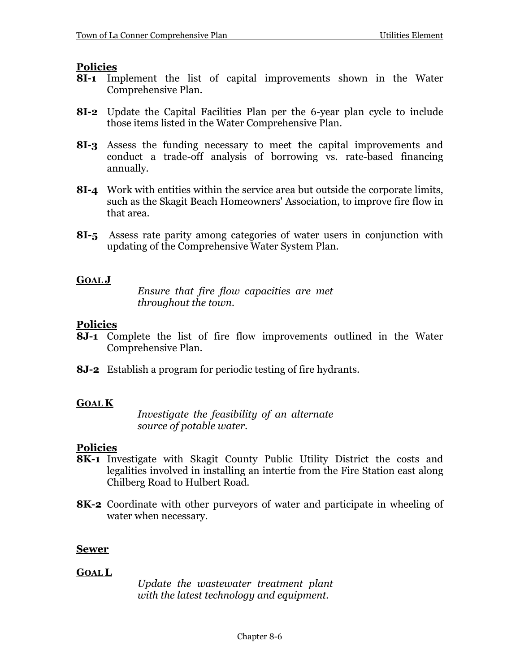## **Policies**

- **8I-1** Implement the list of capital improvements shown in the Water Comprehensive Plan.
- **8I-2** Update the Capital Facilities Plan per the 6-year plan cycle to include those items listed in the Water Comprehensive Plan.
- **8I-3** Assess the funding necessary to meet the capital improvements and conduct a trade-off analysis of borrowing vs. rate-based financing annually.
- **8I-4** Work with entities within the service area but outside the corporate limits, such as the Skagit Beach Homeowners' Association, to improve fire flow in that area.
- **8I-5** Assess rate parity among categories of water users in conjunction with updating of the Comprehensive Water System Plan.

## **GOAL J**

*Ensure that fire flow capacities are met throughout the town.*

## **Policies**

- **8J-1** Complete the list of fire flow improvements outlined in the Water Comprehensive Plan.
- **8J-2** Establish a program for periodic testing of fire hydrants.

#### **GOAL K**

*Investigate the feasibility of an alternate source of potable water.*

## **Policies**

- **8K-1** Investigate with Skagit County Public Utility District the costs and legalities involved in installing an intertie from the Fire Station east along Chilberg Road to Hulbert Road.
- **8K-2** Coordinate with other purveyors of water and participate in wheeling of water when necessary.

## **Sewer**

#### **GOAL L**

*Update the wastewater treatment plant with the latest technology and equipment.*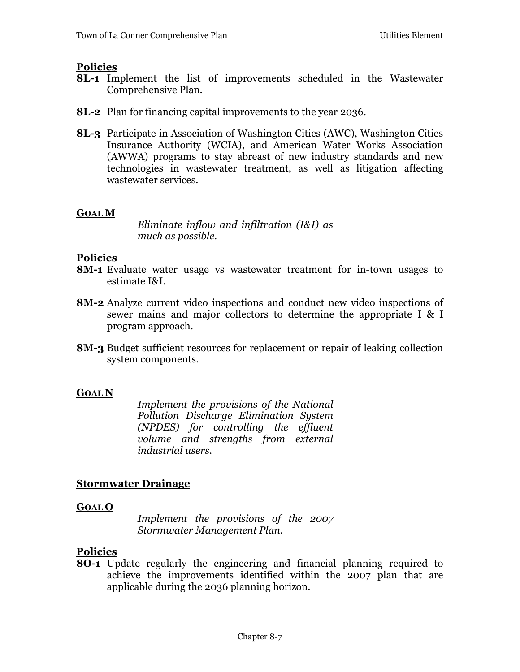## **Policies**

- **8L-1** Implement the list of improvements scheduled in the Wastewater Comprehensive Plan.
- **8L-2** Plan for financing capital improvements to the year 2036.
- **8L-3** Participate in Association of Washington Cities (AWC), Washington Cities Insurance Authority (WCIA), and American Water Works Association (AWWA) programs to stay abreast of new industry standards and new technologies in wastewater treatment, as well as litigation affecting wastewater services.

## **GOAL M**

*Eliminate inflow and infiltration (I&I) as much as possible.*

## **Policies**

- **8M-1** Evaluate water usage vs wastewater treatment for in-town usages to estimate I&I.
- **8M-2** Analyze current video inspections and conduct new video inspections of sewer mains and major collectors to determine the appropriate I & I program approach.
- **8M-3** Budget sufficient resources for replacement or repair of leaking collection system components.

#### **GOAL N**

*Implement the provisions of the National Pollution Discharge Elimination System (NPDES) for controlling the effluent volume and strengths from external industrial users.*

## **Stormwater Drainage**

#### **GOAL O**

*Implement the provisions of the 2007 Stormwater Management Plan.*

## **Policies**

**8O-1** Update regularly the engineering and financial planning required to achieve the improvements identified within the 2007 plan that are applicable during the 2036 planning horizon.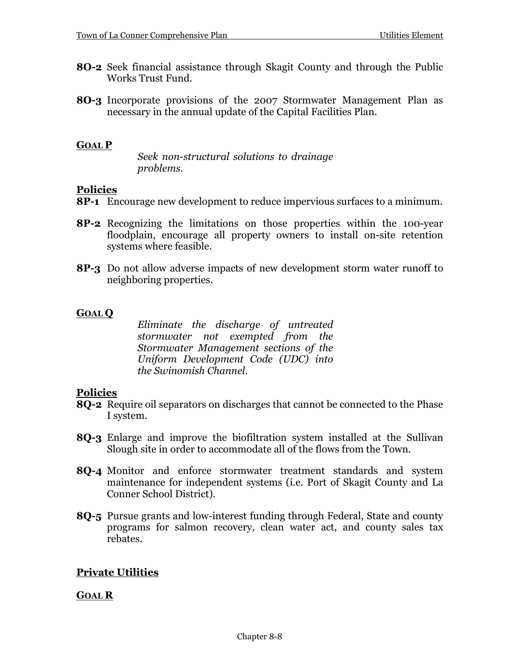- **8O-2** Seek financial assistance through Skagit County and through the Public Works Trust Fund.
- **8O-3** Incorporate provisions of the 2007 Stormwater Management Plan as necessary in the annual update of the Capital Facilities Plan.

#### **GOAL P**

*Seek non-structural solutions to drainage problems.* 

#### **Policies**

- **8P-1** Encourage new development to reduce impervious surfaces to a minimum.
- **8P-2** Recognizing the limitations on those properties within the 100-year floodplain, encourage all property owners to install on-site retention systems where feasible.
- **8P-3** Do not allow adverse impacts of new development storm water runoff to neighboring properties.

#### **GOAL Q**

*Eliminate the discharge of untreated stormwater not exempted from the Stormwater Management sections of the Uniform Development Code (UDC) into the Swinomish Channel.*

#### **Policies**

- **8Q-2** Require oil separators on discharges that cannot be connected to the Phase I system.
- **8Q-3** Enlarge and improve the biofiltration system installed at the Sullivan Slough site in order to accommodate all of the flows from the Town.
- **8Q-4** Monitor and enforce stormwater treatment standards and system maintenance for independent systems (i.e. Port of Skagit County and La Conner School District).
- **8Q-5** Pursue grants and low-interest funding through Federal, State and county programs for salmon recovery, clean water act, and county sales tax rebates.

## **Private Utilities**

#### **GOAL R**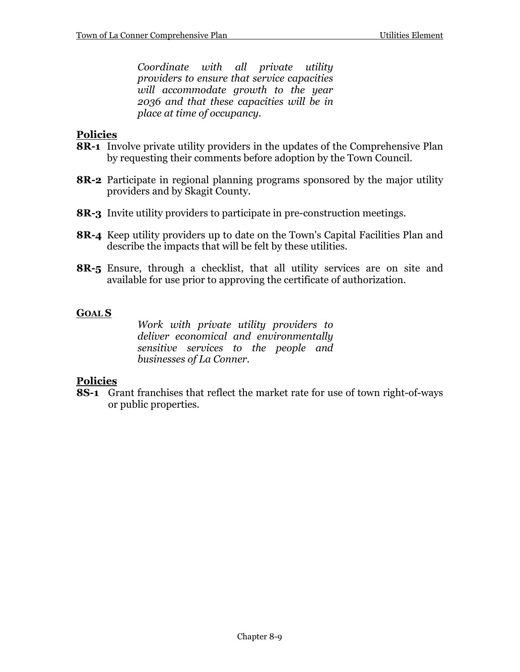*Coordinate with all private utility providers to ensure that service capacities will accommodate growth to the year 2036 and that these capacities will be in place at time of occupancy.*

## **Policies**

- **8R-1** Involve private utility providers in the updates of the Comprehensive Plan by requesting their comments before adoption by the Town Council.
- **8R-2** Participate in regional planning programs sponsored by the major utility providers and by Skagit County.
- **8R-3** Invite utility providers to participate in pre-construction meetings.
- **8R-4** Keep utility providers up to date on the Town's Capital Facilities Plan and describe the impacts that will be felt by these utilities.
- **8R-5** Ensure, through a checklist, that all utility services are on site and available for use prior to approving the certificate of authorization.

#### **GOAL S**

*Work with private utility providers to deliver economical and environmentally sensitive services to the people and businesses of La Conner.* 

#### **Policies**

**8S-1** Grant franchises that reflect the market rate for use of town right-of-ways or public properties.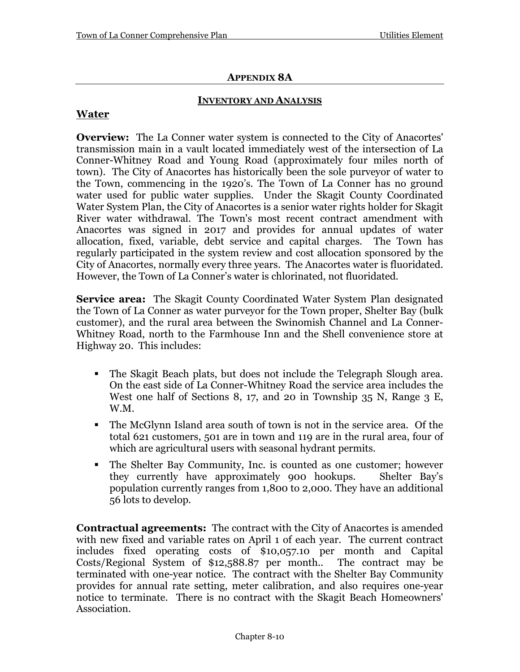## **APPENDIX 8A**

#### **INVENTORY AND ANALYSIS**

## **Water**

**Overview:** The La Conner water system is connected to the City of Anacortes' transmission main in a vault located immediately west of the intersection of La Conner-Whitney Road and Young Road (approximately four miles north of town). The City of Anacortes has historically been the sole purveyor of water to the Town, commencing in the 1920's. The Town of La Conner has no ground water used for public water supplies. Under the Skagit County Coordinated Water System Plan, the City of Anacortes is a senior water rights holder for Skagit River water withdrawal. The Town's most recent contract amendment with Anacortes was signed in 2017 and provides for annual updates of water allocation, fixed, variable, debt service and capital charges. The Town has regularly participated in the system review and cost allocation sponsored by the City of Anacortes, normally every three years. The Anacortes water is fluoridated. However, the Town of La Conner's water is chlorinated, not fluoridated.

**Service area:** The Skagit County Coordinated Water System Plan designated the Town of La Conner as water purveyor for the Town proper, Shelter Bay (bulk customer), and the rural area between the Swinomish Channel and La Conner-Whitney Road, north to the Farmhouse Inn and the Shell convenience store at Highway 20. This includes:

- The Skagit Beach plats, but does not include the Telegraph Slough area. On the east side of La Conner-Whitney Road the service area includes the West one half of Sections 8, 17, and 20 in Township 35 N, Range 3 E, W.M.
- The McGlynn Island area south of town is not in the service area. Of the total 621 customers, 501 are in town and 119 are in the rural area, four of which are agricultural users with seasonal hydrant permits.
- The Shelter Bay Community, Inc. is counted as one customer; however they currently have approximately 900 hookups. Shelter Bay's they currently have approximately 900 hookups. population currently ranges from 1,800 to 2,000. They have an additional 56 lots to develop.

**Contractual agreements:** The contract with the City of Anacortes is amended with new fixed and variable rates on April 1 of each year. The current contract includes fixed operating costs of \$10,057.10 per month and Capital Costs/Regional System of \$12,588.87 per month.. The contract may be terminated with one-year notice. The contract with the Shelter Bay Community provides for annual rate setting, meter calibration, and also requires one-year notice to terminate. There is no contract with the Skagit Beach Homeowners' Association.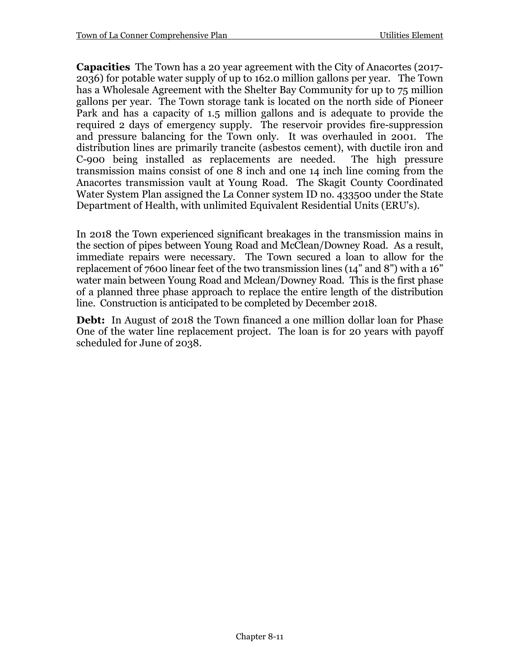**Capacities** The Town has a 20 year agreement with the City of Anacortes (2017- 2036) for potable water supply of up to 162.0 million gallons per year. The Town has a Wholesale Agreement with the Shelter Bay Community for up to 75 million gallons per year. The Town storage tank is located on the north side of Pioneer Park and has a capacity of 1.5 million gallons and is adequate to provide the required 2 days of emergency supply. The reservoir provides fire-suppression and pressure balancing for the Town only. It was overhauled in 2001. The distribution lines are primarily trancite (asbestos cement), with ductile iron and C-900 being installed as replacements are needed. The high pressure transmission mains consist of one 8 inch and one 14 inch line coming from the Anacortes transmission vault at Young Road. The Skagit County Coordinated Water System Plan assigned the La Conner system ID no. 433500 under the State Department of Health, with unlimited Equivalent Residential Units (ERU's).

In 2018 the Town experienced significant breakages in the transmission mains in the section of pipes between Young Road and McClean/Downey Road. As a result, immediate repairs were necessary. The Town secured a loan to allow for the replacement of 7600 linear feet of the two transmission lines (14" and 8") with a 16" water main between Young Road and Mclean/Downey Road. This is the first phase of a planned three phase approach to replace the entire length of the distribution line. Construction is anticipated to be completed by December 2018.

**Debt:** In August of 2018 the Town financed a one million dollar loan for Phase One of the water line replacement project. The loan is for 20 years with payoff scheduled for June of 2038.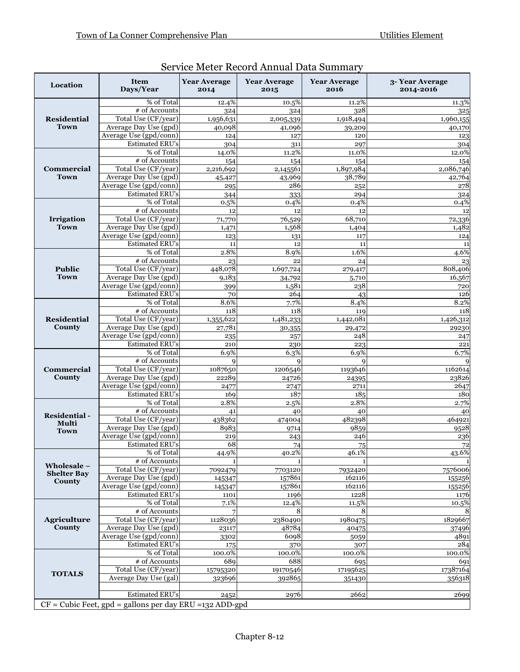| Location                                                   | <b>Item</b><br>Days/Year             | <b>Year Average</b><br>2014 | <b>Year Average</b><br>2015 | <b>Year Average</b><br>2016 | 3-Year Average<br>2014-2016 |  |
|------------------------------------------------------------|--------------------------------------|-----------------------------|-----------------------------|-----------------------------|-----------------------------|--|
| <b>Residential</b><br><b>Town</b>                          | % of Total                           | 12.4%                       | 10.5%                       | 11.2%                       | 11.3%                       |  |
|                                                            | # of Accounts                        | 324                         | 324                         | 328                         | 325                         |  |
|                                                            | Total Use (CF/year)                  | 1,956,631                   | 2,005,339                   | 1,918,494                   | $\overline{1,}960,155$      |  |
|                                                            | Average Day Use (gpd)                | 40,098                      | 41,096                      | 39,209                      | 40,170                      |  |
|                                                            | Average Use (gpd/conn)               | 124                         | 127                         | 120                         | 123                         |  |
|                                                            | <b>Estimated ERU's</b><br>% of Total | 304                         | 311<br>11.2%                | 297<br>11.0%                | 304<br>12.0%                |  |
|                                                            | # of Accounts                        | 14.0%<br>154                | 154                         | 154                         | 154                         |  |
| Commercial                                                 | Total Use (CF/year)                  | 2,216,692                   | 2,145561                    | 1,897,984                   | 2,086,746                   |  |
| <b>Town</b>                                                | Average Day Use (gpd)                | 45,427                      | 43,969                      | 38,789                      | 42,764                      |  |
|                                                            | Average Use (gpd/conn)               | 295                         | 286                         | 252                         | 278                         |  |
|                                                            | <b>Estimated ERU's</b>               | 344                         | 333                         | 294                         | 324                         |  |
|                                                            | % of Total                           | 0.5%                        | 0.4%                        | 0.4%                        | 0.4%                        |  |
|                                                            | # of Accounts                        | 12                          | 12                          | 12                          | 12                          |  |
| Irrigation                                                 | Total Use (CF/year)                  | 71,770                      | 76,529                      | 68,710                      | 72,336                      |  |
| <b>Town</b>                                                | Average Day Use (gpd)                | 1,471                       | 1,568                       | 1,404                       | 1,482                       |  |
|                                                            | Average Use (gpd/conn)               | 123                         | 131                         | 117                         | 124                         |  |
|                                                            | <b>Estimated ERU's</b>               | 11                          | 12                          | 11                          | 11                          |  |
|                                                            | % of Total                           | 2.8%                        | 8.9%                        | 1.6%                        | 4.6%                        |  |
|                                                            | # of Accounts                        | 23                          | 22                          | 24                          | 23                          |  |
| <b>Public</b>                                              | Total Use (CF/year)                  | 448,078                     | 1,697,724                   | 279,417                     | 808,406                     |  |
| <b>Town</b>                                                | Average Day Use (gpd)                | 9,183                       | 34,792                      | 5,710                       | 16,567                      |  |
|                                                            | Average Use (gpd/conn)               | 399                         | 1,581                       | 238                         | 720                         |  |
|                                                            | <b>Estimated ERU's</b>               | 70                          | 264                         | 43                          | 126                         |  |
|                                                            | % of Total                           | 8.6%                        | 7.7%                        | 8.4%                        | 8.2%<br>118                 |  |
| <b>Residential</b>                                         | # of Accounts<br>Total Use (CF/year) | 118                         | 118                         | 119                         |                             |  |
| County                                                     | Average Day Use (gpd)                | 1,355,622<br>27,781         | 1,481,233                   | 1,442,081                   | 1,426,312                   |  |
|                                                            | Average Use (gpd/conn)               | 235                         | 30,355<br>257               | 29,472<br>248               | 29230<br>247                |  |
|                                                            | <b>Estimated ERU's</b>               | 210                         | 230                         | 223                         | 221                         |  |
|                                                            | % of Total                           | 6.9%                        | 6.3%                        | 6.9%                        | 6.7%                        |  |
|                                                            | # of Accounts                        | q                           | Q                           | $\mathbf Q$                 | q                           |  |
| Commercial                                                 | Total Use (CF/year)                  | 1087650                     | 1206546                     | 1193646                     | 1162614                     |  |
| County                                                     | Average Day Use (gpd)                | 22289                       | 24726                       | 24395                       | 23826                       |  |
|                                                            | Average Use (gpd/conn)               | 2477                        | 2747                        | 2711                        | 2647                        |  |
|                                                            | <b>Estimated ERU's</b>               | 169                         | 187                         | 185                         | 180                         |  |
|                                                            | % of Total                           | 2.8%                        | 2.5%                        | 2.8%                        | 2.7%                        |  |
| Residential-                                               | # of Accounts                        | 41                          | 40                          | 40                          | 40                          |  |
| Multi                                                      | Total Use (CF/year)                  | 438362                      | 474004                      | 482398                      | 464921                      |  |
| <b>Town</b>                                                | Average Day Use (gpd)                | 8983                        | 9714                        | 9859                        | 9528                        |  |
|                                                            | Average Use (gpd/conn)               | 219                         | 243                         | 246                         | 236                         |  |
|                                                            | <b>Estimated ERU's</b>               | 68                          | 74<br>40.2%                 | 75                          | 72                          |  |
|                                                            | % of Total<br># of Accounts          | 44.9%                       |                             | 46.1%                       | 43.6%                       |  |
| Wholesale-                                                 | Total Use (CF/year)                  | 1<br>7092479                | 7703120                     | 7932420                     | $\mathbf{1}$<br>7576006     |  |
| <b>Shelter Bay</b>                                         | Average Day Use (gpd)                | 145347                      | 157861                      | 162116                      | 155256                      |  |
| County                                                     | Average Use (gpd/conn)               | 145347                      | 157861                      | 162116                      | 155256                      |  |
|                                                            | <b>Estimated ERU's</b>               | 1101                        | 1196                        | 1228                        | 1176                        |  |
|                                                            | % of Total                           | 7.1%                        | 12.4%                       | 11.5%                       | $10.\overline{5\%}$         |  |
|                                                            | $#$ of Accounts                      |                             | 8                           | 8                           | 8                           |  |
| Agriculture                                                | Total Use (CF/year)                  | 1128036                     | 2380490                     | 1980475                     | 1829667                     |  |
| County                                                     | Average Day Use (gpd)                | 23117                       | 48784                       | 40475                       | 37496                       |  |
|                                                            | Average Use (gpd/conn)               | 3302                        | 6098                        | 5059                        | 4891                        |  |
|                                                            | <b>Estimated ERU's</b>               | 175                         | 370                         | 307                         | 284                         |  |
|                                                            | % of Total                           | $100.0\%$                   | 100.0%                      | 100.0%                      | 100.0%                      |  |
|                                                            | # of Accounts                        | 689                         | 688                         | 695                         | 691                         |  |
| <b>TOTALS</b>                                              | Total Use (CF/year)                  | 15795320                    | 19170546                    | 17195625                    | 17387164                    |  |
|                                                            | Average Day Use (gal)                | 323696                      | 392865                      | 351430                      | 356318                      |  |
|                                                            | <b>Estimated ERU's</b>               |                             |                             |                             |                             |  |
|                                                            |                                      | 2452                        | 2976                        | 2662                        | 2699                        |  |
| $CF = Cubic Feet, gpd = gallons per day ERU = 132 ADD-gpd$ |                                      |                             |                             |                             |                             |  |

# Service Meter Record Annual Data Summary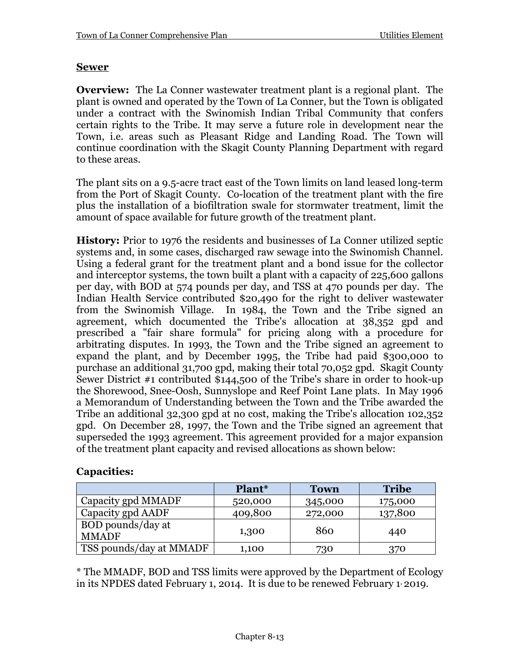## **Sewer**

**Overview:** The La Conner wastewater treatment plant is a regional plant. The plant is owned and operated by the Town of La Conner, but the Town is obligated under a contract with the Swinomish Indian Tribal Community that confers certain rights to the Tribe. It may serve a future role in development near the Town, i.e. areas such as Pleasant Ridge and Landing Road. The Town will continue coordination with the Skagit County Planning Department with regard to these areas.

The plant sits on a 9.5-acre tract east of the Town limits on land leased long-term from the Port of Skagit County. Co-location of the treatment plant with the fire plus the installation of a biofiltration swale for stormwater treatment, limit the amount of space available for future growth of the treatment plant.

**History:** Prior to 1976 the residents and businesses of La Conner utilized septic systems and, in some cases, discharged raw sewage into the Swinomish Channel. Using a federal grant for the treatment plant and a bond issue for the collector and interceptor systems, the town built a plant with a capacity of 225,600 gallons per day, with BOD at 574 pounds per day, and TSS at 470 pounds per day. The Indian Health Service contributed \$20,490 for the right to deliver wastewater from the Swinomish Village. In 1984, the Town and the Tribe signed an agreement, which documented the Tribe's allocation at 38,352 gpd and prescribed a "fair share formula" for pricing along with a procedure for arbitrating disputes. In 1993, the Town and the Tribe signed an agreement to expand the plant, and by December 1995, the Tribe had paid \$300,000 to purchase an additional 31,700 gpd, making their total 70,052 gpd. Skagit County Sewer District #1 contributed \$144,500 of the Tribe's share in order to hook-up the Shorewood, Snee-Oosh, Sunnyslope and Reef Point Lane plats. In May 1996 a Memorandum of Understanding between the Town and the Tribe awarded the Tribe an additional 32,300 gpd at no cost, making the Tribe's allocation 102,352 gpd. On December 28, 1997, the Town and the Tribe signed an agreement that superseded the 1993 agreement. This agreement provided for a major expansion of the treatment plant capacity and revised allocations as shown below:

|                                   | Plant*  | <b>Town</b> | <b>Tribe</b> |
|-----------------------------------|---------|-------------|--------------|
| Capacity gpd MMADF                | 520,000 | 345,000     | 175,000      |
| Capacity gpd AADF                 | 409,800 | 272,000     | 137,800      |
| BOD pounds/day at<br><b>MMADF</b> | 1,300   | 860         | 440          |
| TSS pounds/day at MMADF           | 1,100   | 730         | 370          |

## **Capacities:**

\* The MMADF, BOD and TSS limits were approved by the Department of Ecology in its NPDES dated February 1, 2014. It is due to be renewed February 1, 2019.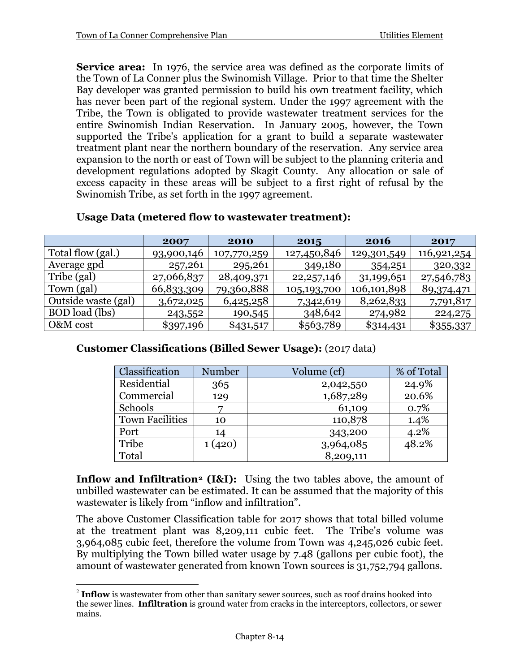**Service area:** In 1976, the service area was defined as the corporate limits of the Town of La Conner plus the Swinomish Village. Prior to that time the Shelter Bay developer was granted permission to build his own treatment facility, which has never been part of the regional system. Under the 1997 agreement with the Tribe, the Town is obligated to provide wastewater treatment services for the entire Swinomish Indian Reservation. In January 2005, however, the Town supported the Tribe's application for a grant to build a separate wastewater treatment plant near the northern boundary of the reservation. Any service area expansion to the north or east of Town will be subject to the planning criteria and development regulations adopted by Skagit County. Any allocation or sale of excess capacity in these areas will be subject to a first right of refusal by the Swinomish Tribe, as set forth in the 1997 agreement.

|                       | 2007       | 2010        | 2015         | <b>2016</b> | 2017        |
|-----------------------|------------|-------------|--------------|-------------|-------------|
| Total flow (gal.)     | 93,900,146 | 107,770,259 | 127,450,846  | 129,301,549 | 116,921,254 |
| Average gpd           | 257,261    | 295,261     | 349,180      | 354,251     | 320,332     |
| Tribe (gal)           | 27,066,837 | 28,409,371  | 22, 257, 146 | 31,199,651  | 27,546,783  |
| Town (gal)            | 66,833,309 | 79,360,888  | 105,193,700  | 106,101,898 | 89,374,471  |
| Outside waste (gal)   | 3,672,025  | 6,425,258   | 7,342,619    | 8,262,833   | 7,791,817   |
| <b>BOD</b> load (lbs) | 243,552    | 190,545     | 348,642      | 274,982     | 224, 275    |
| O&M cost              | \$397,196  | \$431,517   | \$563,789    | \$314,431   | \$355,337   |

#### **Usage Data (metered flow to wastewater treatment):**

# **Customer Classifications (Billed Sewer Usage):** (2017 data)

| Classification         | Number | Volume (cf) | % of Total |
|------------------------|--------|-------------|------------|
| Residential            | 365    | 2,042,550   | 24.9%      |
| Commercial             | 129    | 1,687,289   | 20.6%      |
| Schools                |        | 61,109      | 0.7%       |
| <b>Town Facilities</b> | 10     | 110,878     | 1.4%       |
| Port                   | 14     | 343,200     | 4.2%       |
| Tribe                  | 1(420) | 3,964,085   | 48.2%      |
| Total                  |        | 8,209,111   |            |

**Inflow and Infiltration[2](#page-13-0) (I&I):** Using the two tables above, the amount of unbilled wastewater can be estimated. It can be assumed that the majority of this wastewater is likely from "inflow and infiltration".

The above Customer Classification table for 2017 shows that total billed volume at the treatment plant was 8,209,111 cubic feet. The Tribe's volume was 3,964,085 cubic feet, therefore the volume from Town was 4,245,026 cubic feet. By multiplying the Town billed water usage by 7.48 (gallons per cubic foot), the amount of wastewater generated from known Town sources is 31,752,794 gallons.

<span id="page-13-0"></span><sup>&</sup>lt;sup>2</sup> Inflow is wastewater from other than sanitary sewer sources, such as roof drains hooked into the sewer lines. **Infiltration** is ground water from cracks in the interceptors, collectors, or sewer mains.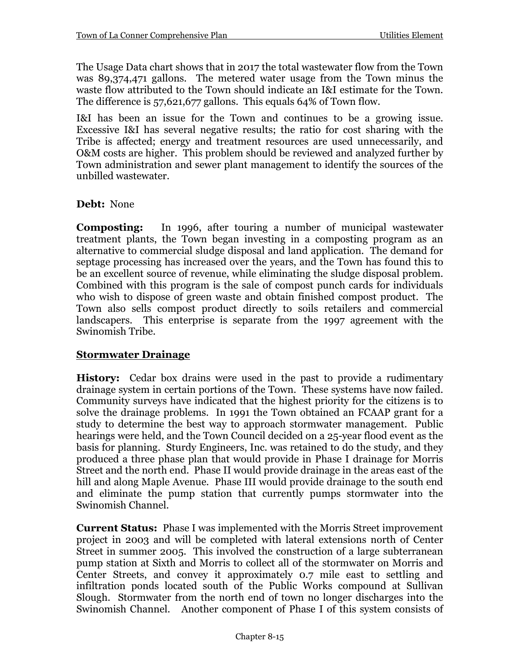The Usage Data chart shows that in 2017 the total wastewater flow from the Town was 89,374,471 gallons. The metered water usage from the Town minus the waste flow attributed to the Town should indicate an I&I estimate for the Town. The difference is 57,621,677 gallons. This equals 64% of Town flow.

I&I has been an issue for the Town and continues to be a growing issue. Excessive I&I has several negative results; the ratio for cost sharing with the Tribe is affected; energy and treatment resources are used unnecessarily, and O&M costs are higher. This problem should be reviewed and analyzed further by Town administration and sewer plant management to identify the sources of the unbilled wastewater.

## **Debt:** None

**Composting:** In 1996, after touring a number of municipal wastewater treatment plants, the Town began investing in a composting program as an alternative to commercial sludge disposal and land application. The demand for septage processing has increased over the years, and the Town has found this to be an excellent source of revenue, while eliminating the sludge disposal problem. Combined with this program is the sale of compost punch cards for individuals who wish to dispose of green waste and obtain finished compost product. The Town also sells compost product directly to soils retailers and commercial landscapers. This enterprise is separate from the 1997 agreement with the Swinomish Tribe.

#### **Stormwater Drainage**

**History:** Cedar box drains were used in the past to provide a rudimentary drainage system in certain portions of the Town. These systems have now failed. Community surveys have indicated that the highest priority for the citizens is to solve the drainage problems. In 1991 the Town obtained an FCAAP grant for a study to determine the best way to approach stormwater management. Public hearings were held, and the Town Council decided on a 25-year flood event as the basis for planning. Sturdy Engineers, Inc. was retained to do the study, and they produced a three phase plan that would provide in Phase I drainage for Morris Street and the north end. Phase II would provide drainage in the areas east of the hill and along Maple Avenue. Phase III would provide drainage to the south end and eliminate the pump station that currently pumps stormwater into the Swinomish Channel.

**Current Status:** Phase I was implemented with the Morris Street improvement project in 2003 and will be completed with lateral extensions north of Center Street in summer 2005. This involved the construction of a large subterranean pump station at Sixth and Morris to collect all of the stormwater on Morris and Center Streets, and convey it approximately 0.7 mile east to settling and infiltration ponds located south of the Public Works compound at Sullivan Slough. Stormwater from the north end of town no longer discharges into the Swinomish Channel. Another component of Phase I of this system consists of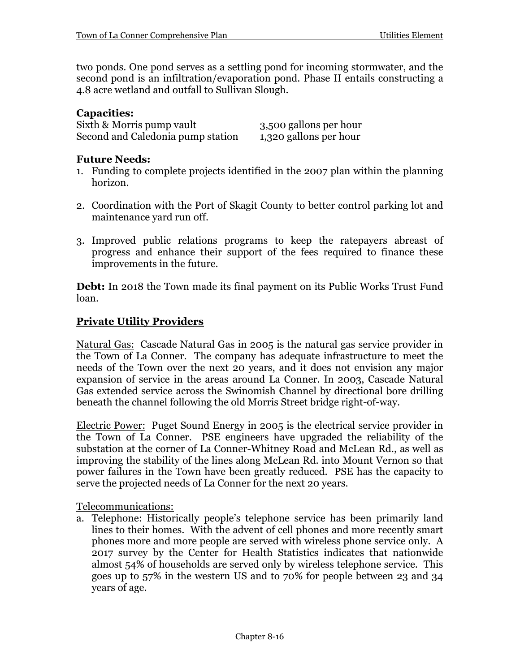two ponds. One pond serves as a settling pond for incoming stormwater, and the second pond is an infiltration/evaporation pond. Phase II entails constructing a 4.8 acre wetland and outfall to Sullivan Slough.

## **Capacities:**

Sixth & Morris pump vault<br>Second and Caledonia pump station 1,320 gallons per hour Second and Caledonia pump station

## **Future Needs:**

- 1. Funding to complete projects identified in the 2007 plan within the planning horizon.
- 2. Coordination with the Port of Skagit County to better control parking lot and maintenance yard run off.
- 3. Improved public relations programs to keep the ratepayers abreast of progress and enhance their support of the fees required to finance these improvements in the future.

**Debt:** In 2018 the Town made its final payment on its Public Works Trust Fund loan.

## **Private Utility Providers**

Natural Gas: Cascade Natural Gas in 2005 is the natural gas service provider in the Town of La Conner. The company has adequate infrastructure to meet the needs of the Town over the next 20 years, and it does not envision any major expansion of service in the areas around La Conner. In 2003, Cascade Natural Gas extended service across the Swinomish Channel by directional bore drilling beneath the channel following the old Morris Street bridge right-of-way.

Electric Power: Puget Sound Energy in 2005 is the electrical service provider in the Town of La Conner. PSE engineers have upgraded the reliability of the substation at the corner of La Conner-Whitney Road and McLean Rd., as well as improving the stability of the lines along McLean Rd. into Mount Vernon so that power failures in the Town have been greatly reduced. PSE has the capacity to serve the projected needs of La Conner for the next 20 years.

Telecommunications:

a. Telephone: Historically people's telephone service has been primarily land lines to their homes. With the advent of cell phones and more recently smart phones more and more people are served with wireless phone service only. A 2017 survey by the Center for Health Statistics indicates that nationwide almost 54% of households are served only by wireless telephone service. This goes up to 57% in the western US and to 70% for people between 23 and 34 years of age.